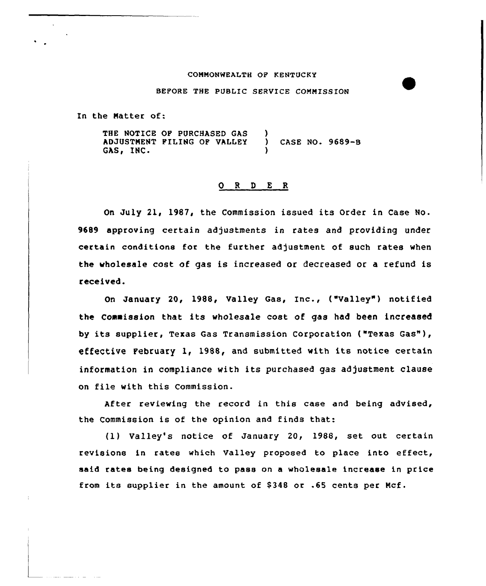#### COMMONWEALTH OP KENTUCKY

#### BEFORE THE PUBIIC SERVICE COMMISSION

In the Matter of:

THE NOTICE OP PURCHASED GAS ADJUSTNENT PILING OP VAILEY GAS, INC. ) ) CASE NO. 9689-B )

# 0 <sup>R</sup> <sup>D</sup> <sup>E</sup> <sup>R</sup>

On July 21, 1987, the Commission issued its Order in Case No. 9689 approving certain adjustments in rates and providing under certain conditions for the further adjustment of such rates when the wholesale cost of gas is increased or decreased or a refund is received.

On January 20, 1988, Valley Gas, Inc., ("Valley") notified the Commission that its wholesale cost of gas had been increased by its supplier, Texas Gas Transmission corporation ("Texas Gas"), effective Pebruary 1, 1988, and submitted with its notice certain information in compliance with its purchased gas adjustment clause on file with this Commission.

After reviewing the record in this case and being advised, the Commission is of the opinion and finds that:

(1) Valley's notice of January 20, 1988, set out certain revisions in rates which Valley proposed to place into effect, said rates being designed to pass on a wholesale increase in price from its supplier in the amount of 8348 or .65 cents per Ncf.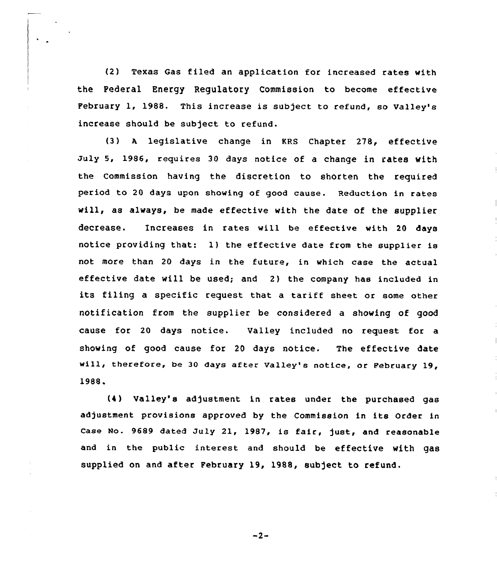(2) Texas Gas filed an application for increased rates with the Federal Energy Regulatory Commission to become effective February 1, 1988. This increase is subject to refund, so Valley's increase should be subject to refund.

(3) <sup>A</sup> legislative change in KRS Chapter 278, effective July S, 1986, requires 30 days notice of a change in rates with the Commission having the discretion to shorten the required period to 20 days upon showing of good cause. Reduction in rates will, as always, be made effective with the date of the supplier decrease. Increases in rates will be effective with 20 days notice providing that: 1) the effective date from the supplier is not more than 20 days in the future, in which case the actual effective date will be used; and 2) the company hae included in its filing a specific request that a tariff sheet or some other notification from the supplier be considered a showing of good cause for 20 days notice. Valley included no request for a showing of good cause for 20 days notice. The effective date will, therefore, be 30 days after Valley's notice, or February 19, 1988

(4) Valley's adjustment in rates under the purchased gas adjustment provisions approved by the Commission in its Order in Case No. 9689 dated July 21, 1987, is fair, just, and reasonable and in the public interest and should be effective with gas supplied on and after February 19, 1988, subject to refund.

 $-2-$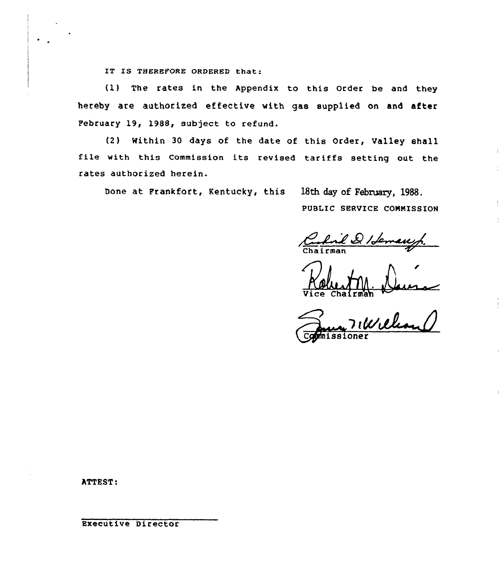IT IS THEREFORE ORDERED that:

(1) The rates in the Appendix to this Order be and they hereby are authorized effective with gas supplied on and after Pebruary 19, 1988, subject to refund.

(2) Within 30 days of the date of this Order, Valley shall file with this Commission its revised tariffs setting out the rates authorized herein.

Done at Prankfort, Kentucky, this 18th day of February, 1988.

PUBLIC SERVICE CONNISSIQN

Chairman

Vice Chairma

Commissione

hTTEST:

Executive Director